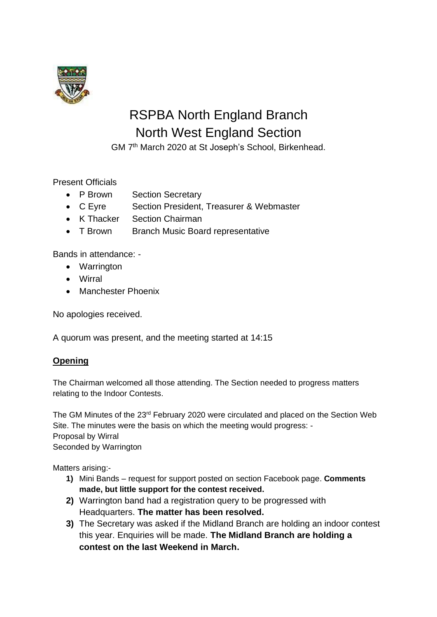

# RSPBA North England Branch North West England Section

GM 7<sup>th</sup> March 2020 at St Joseph's School, Birkenhead.

## Present Officials

- P Brown Section Secretary
- C Eyre Section President, Treasurer & Webmaster
- K Thacker Section Chairman
- T Brown Branch Music Board representative

Bands in attendance: -

- Warrington
- Wirral
- Manchester Phoenix

No apologies received.

A quorum was present, and the meeting started at 14:15

## **Opening**

The Chairman welcomed all those attending. The Section needed to progress matters relating to the Indoor Contests.

The GM Minutes of the 23<sup>rd</sup> February 2020 were circulated and placed on the Section Web Site. The minutes were the basis on which the meeting would progress: - Proposal by Wirral Seconded by Warrington

Matters arising:-

- **1)** Mini Bands request for support posted on section Facebook page. **Comments made, but little support for the contest received.**
- **2)** Warrington band had a registration query to be progressed with Headquarters. **The matter has been resolved.**
- **3)** The Secretary was asked if the Midland Branch are holding an indoor contest this year. Enquiries will be made. **The Midland Branch are holding a contest on the last Weekend in March.**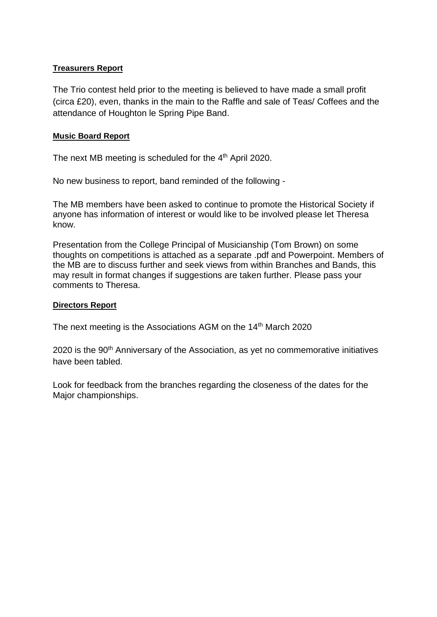#### **Treasurers Report**

The Trio contest held prior to the meeting is believed to have made a small profit (circa £20), even, thanks in the main to the Raffle and sale of Teas/ Coffees and the attendance of Houghton le Spring Pipe Band.

#### **Music Board Report**

The next MB meeting is scheduled for the 4<sup>th</sup> April 2020.

No new business to report, band reminded of the following -

The MB members have been asked to continue to promote the Historical Society if anyone has information of interest or would like to be involved please let Theresa know.

Presentation from the College Principal of Musicianship (Tom Brown) on some thoughts on competitions is attached as a separate .pdf and Powerpoint. Members of the MB are to discuss further and seek views from within Branches and Bands, this may result in format changes if suggestions are taken further. Please pass your comments to Theresa.

#### **Directors Report**

The next meeting is the Associations AGM on the 14th March 2020

2020 is the 90<sup>th</sup> Anniversary of the Association, as yet no commemorative initiatives have been tabled.

Look for feedback from the branches regarding the closeness of the dates for the Major championships.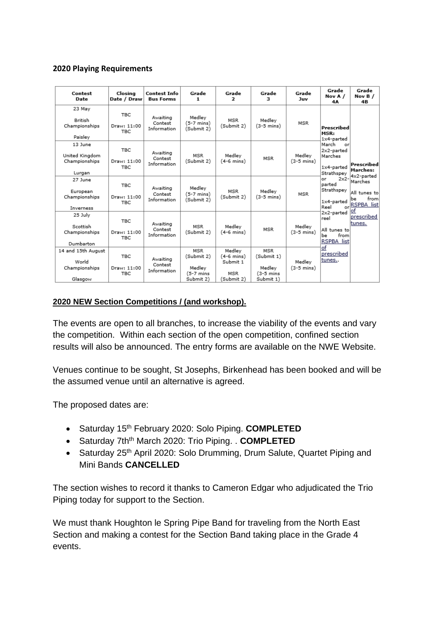#### **2020 Playing Requirements**

| Contest<br>Date                                         | Closing<br>Date / Draw                  | <b>Contest Info</b><br><b>Bus Forms</b> | Grade<br>1                                                   | Grade<br>2                                                     | Grade<br>з                                                   | Grade<br>Juv                   | Grade<br>Nov A /<br>4A                                            | Grade<br>Nov $B/$<br>4B                                                                      |
|---------------------------------------------------------|-----------------------------------------|-----------------------------------------|--------------------------------------------------------------|----------------------------------------------------------------|--------------------------------------------------------------|--------------------------------|-------------------------------------------------------------------|----------------------------------------------------------------------------------------------|
| 23 May<br><b>British</b><br>Championships<br>Paisley    | <b>TBC</b><br>Draw: 11:00<br>TBC.       | Awaiting<br>Contest<br>Information      | Medley<br>(5-7 mins)<br>(Submit 2)                           | <b>MSR</b><br>(Submit 2)                                       | Medley<br>$(3-5 \text{ mins})$                               | MSR                            | Prescribed<br>MSR:<br>1x4-parted                                  |                                                                                              |
| 13 June<br>United Kingdom<br>Championships<br>Lurgan    | <b>TBC</b><br>Draw: 11:00<br><b>TBC</b> | Awaiting<br>Contest<br>Information      | <b>MSR</b><br>(Submit 2)                                     | Medlev<br>$(4-6$ mins)                                         | <b>MSR</b>                                                   | Medlev<br>$(3-5 \text{ mins})$ | March<br>or<br>2x2-parted<br>Marches<br>1x4-parted<br>Strathspey  | Prescribed<br>Marches:                                                                       |
| 27 June<br>European<br>Championships<br>Inverness       | <b>TBC</b><br>Draw: 11:00<br>TBC.       | Awaiting<br>Contest<br>Information      | Medley<br>(5-7 mins)<br>(Submit 2)                           | MSR<br>(Submit 2)                                              | Medley<br>$(3-5 \text{ mins})$                               | <b>MSR</b>                     | $2x2 -$<br>or<br>parted<br>Strathspey<br>1x4-parted<br>Reel<br>or | 4x2-parted<br>Marches<br>All tunes to<br>from<br>lbe<br>RSPBA list<br>$\overline{\text{of}}$ |
| 25 July<br>Scottish<br>Championships<br>Dumbarton       | TBC.<br>Draw: 11:00<br><b>TBC</b>       | Awaiting<br>Contest<br>Information      | <b>MSR</b><br>(Submit 2)                                     | Medley<br>$(4-6 \text{ mins})$                                 | <b>MSR</b>                                                   | Medley<br>$(3-5 \text{ mins})$ | 2x2-parted<br>reel<br>All tunes to<br>from<br>he<br>RSPBA list    | prescribed<br>tunes.                                                                         |
| 14 and 15th August<br>World<br>Championships<br>Glasgow | <b>TBC</b><br>Draw: 11:00<br><b>TBC</b> | Awaiting<br>Contest<br>Information      | <b>MSR</b><br>(Submit 2)<br>Medley<br>(5-7 mins<br>Submit 2) | Medley<br>$(4-6$ mins)<br>Submit 1<br><b>MSR</b><br>(Submit 2) | <b>MSR</b><br>(Submit 1)<br>Medley<br>(3-5 mins<br>Submit 1) | Medlev<br>$(3-5 \text{ mins})$ | of<br>prescribed<br>tunes                                         |                                                                                              |

### **2020 NEW Section Competitions / (and workshop).**

The events are open to all branches, to increase the viability of the events and vary the competition. Within each section of the open competition, confined section results will also be announced. The entry forms are available on the NWE Website.

Venues continue to be sought, St Josephs, Birkenhead has been booked and will be the assumed venue until an alternative is agreed.

The proposed dates are:

- Saturday 15th February 2020: Solo Piping. **COMPLETED**
- Saturday 7thth March 2020: Trio Piping. . **COMPLETED**
- Saturday 25<sup>th</sup> April 2020: Solo Drumming, Drum Salute, Quartet Piping and Mini Bands **CANCELLED**

The section wishes to record it thanks to Cameron Edgar who adjudicated the Trio Piping today for support to the Section.

We must thank Houghton le Spring Pipe Band for traveling from the North East Section and making a contest for the Section Band taking place in the Grade 4 events.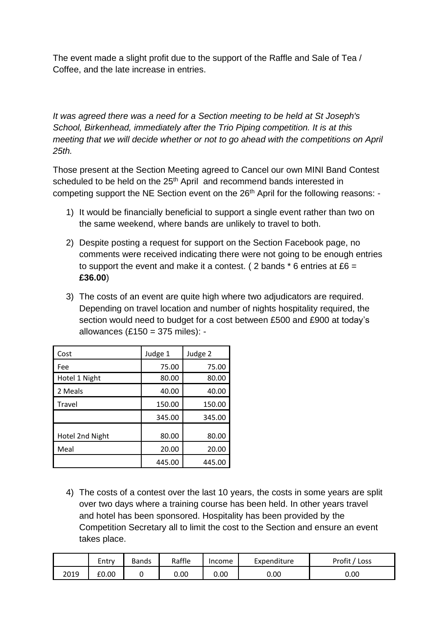The event made a slight profit due to the support of the Raffle and Sale of Tea / Coffee, and the late increase in entries.

*It was agreed there was a need for a Section meeting to be held at St Joseph's School, Birkenhead, immediately after the Trio Piping competition. It is at this meeting that we will decide whether or not to go ahead with the competitions on April 25th.* 

Those present at the Section Meeting agreed to Cancel our own MINI Band Contest scheduled to be held on the 25<sup>th</sup> April and recommend bands interested in competing support the NE Section event on the 26<sup>th</sup> April for the following reasons: -

- 1) It would be financially beneficial to support a single event rather than two on the same weekend, where bands are unlikely to travel to both.
- 2) Despite posting a request for support on the Section Facebook page, no comments were received indicating there were not going to be enough entries to support the event and make it a contest. (2 bands  $*$  6 entries at £6 = **£36.00**)
- 3) The costs of an event are quite high where two adjudicators are required. Depending on travel location and number of nights hospitality required, the section would need to budget for a cost between £500 and £900 at today's allowances (£150 = 375 miles): -

| Cost            | Judge 1 | Judge 2 |
|-----------------|---------|---------|
| Fee             | 75.00   | 75.00   |
| Hotel 1 Night   | 80.00   | 80.00   |
| 2 Meals         | 40.00   | 40.00   |
| Travel          | 150.00  | 150.00  |
|                 | 345.00  | 345.00  |
| Hotel 2nd Night | 80.00   | 80.00   |
| Meal            | 20.00   | 20.00   |
|                 | 445.00  | 445.00  |

4) The costs of a contest over the last 10 years, the costs in some years are split over two days where a training course has been held. In other years travel and hotel has been sponsored. Hospitality has been provided by the Competition Secretary all to limit the cost to the Section and ensure an event takes place.

|      | cntry | Bands | Raffle | Income | Expenditure | Profit<br>Loss |
|------|-------|-------|--------|--------|-------------|----------------|
| 2019 | £0.00 |       | 0.00   | 0.00   | 0.00        | 0.00           |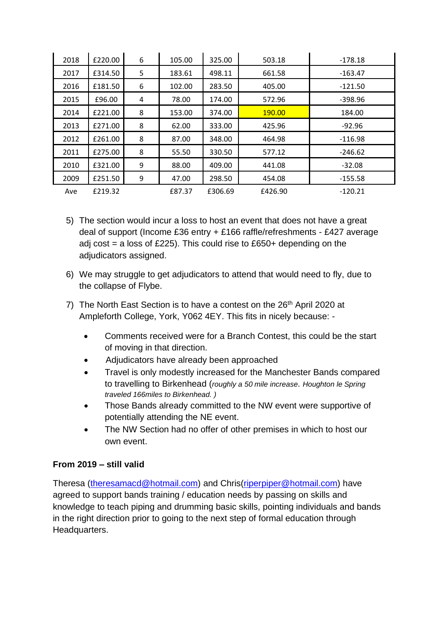| 2018 | £220.00 | 6 | 105.00 | 325.00  | 503.18  | $-178.18$ |
|------|---------|---|--------|---------|---------|-----------|
| 2017 | £314.50 | 5 | 183.61 | 498.11  | 661.58  | $-163.47$ |
| 2016 | £181.50 | 6 | 102.00 | 283.50  | 405.00  | $-121.50$ |
| 2015 | £96.00  | 4 | 78.00  | 174.00  | 572.96  | $-398.96$ |
| 2014 | £221.00 | 8 | 153.00 | 374.00  | 190.00  | 184.00    |
| 2013 | £271.00 | 8 | 62.00  | 333.00  | 425.96  | $-92.96$  |
| 2012 | £261.00 | 8 | 87.00  | 348.00  | 464.98  | $-116.98$ |
| 2011 | £275.00 | 8 | 55.50  | 330.50  | 577.12  | $-246.62$ |
| 2010 | £321.00 | 9 | 88.00  | 409.00  | 441.08  | $-32.08$  |
| 2009 | £251.50 | 9 | 47.00  | 298.50  | 454.08  | $-155.58$ |
| Ave  | £219.32 |   | £87.37 | £306.69 | £426.90 | $-120.21$ |

- 5) The section would incur a loss to host an event that does not have a great deal of support (Income £36 entry + £166 raffle/refreshments - £427 average adj cost = a loss of £225). This could rise to £650+ depending on the adjudicators assigned.
- 6) We may struggle to get adjudicators to attend that would need to fly, due to the collapse of Flybe.
- 7) The North East Section is to have a contest on the 26<sup>th</sup> April 2020 at Ampleforth College, York, Y062 4EY. This fits in nicely because: -
	- Comments received were for a Branch Contest, this could be the start of moving in that direction.
	- Adjudicators have already been approached
	- Travel is only modestly increased for the Manchester Bands compared to travelling to Birkenhead (*roughly a 50 mile increase*. *Houghton le Spring traveled 166miles to Birkenhead. )*
	- Those Bands already committed to the NW event were supportive of potentially attending the NE event.
	- The NW Section had no offer of other premises in which to host our own event.

## **From 2019 – still valid**

Theresa [\(theresamacd@hotmail.com\)](mailto:theresamacd@hotmail.com) and Chris[\(riperpiper@hotmail.com\)](file:///E:/HOME%20USE/Branch%20Documents/riperpiper@hotmail.com) have agreed to support bands training / education needs by passing on skills and knowledge to teach piping and drumming basic skills, pointing individuals and bands in the right direction prior to going to the next step of formal education through Headquarters.